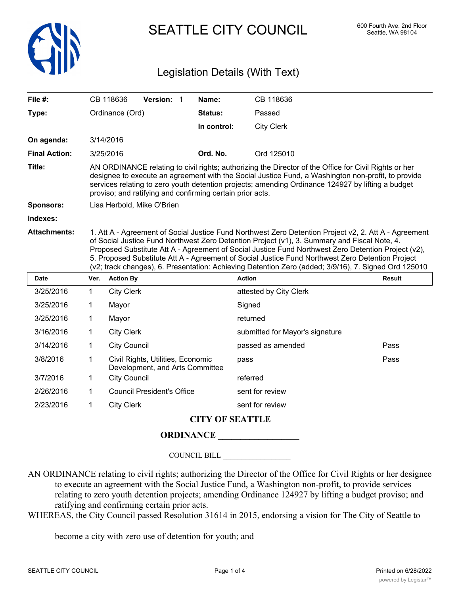

SEATTLE CITY COUNCIL 600 Fourth Ave. 2nd Floor

## Legislation Details (With Text)

| File $#$ :           | CB 118636       | <b>Version:</b>                                           | Name:          | CB 118636                                                                                                                                                                                                                                                                                                                                                                                                        |
|----------------------|-----------------|-----------------------------------------------------------|----------------|------------------------------------------------------------------------------------------------------------------------------------------------------------------------------------------------------------------------------------------------------------------------------------------------------------------------------------------------------------------------------------------------------------------|
| Type:                | Ordinance (Ord) |                                                           | <b>Status:</b> | Passed                                                                                                                                                                                                                                                                                                                                                                                                           |
|                      |                 |                                                           | In control:    | <b>City Clerk</b>                                                                                                                                                                                                                                                                                                                                                                                                |
| On agenda:           | 3/14/2016       |                                                           |                |                                                                                                                                                                                                                                                                                                                                                                                                                  |
| <b>Final Action:</b> | 3/25/2016       |                                                           | Ord. No.       | Ord 125010                                                                                                                                                                                                                                                                                                                                                                                                       |
| Title:               |                 | proviso; and ratifying and confirming certain prior acts. |                | AN ORDINANCE relating to civil rights; authorizing the Director of the Office for Civil Rights or her<br>designee to execute an agreement with the Social Justice Fund, a Washington non-profit, to provide<br>services relating to zero youth detention projects; amending Ordinance 124927 by lifting a budget                                                                                                 |
| <b>Sponsors:</b>     |                 | Lisa Herbold, Mike O'Brien                                |                |                                                                                                                                                                                                                                                                                                                                                                                                                  |
| Indexes:             |                 |                                                           |                |                                                                                                                                                                                                                                                                                                                                                                                                                  |
| <b>Attachments:</b>  |                 |                                                           |                | 1. Att A - Agreement of Social Justice Fund Northwest Zero Detention Project v2, 2. Att A - Agreement<br>of Social Justice Fund Northwest Zero Detention Project (v1), 3. Summary and Fiscal Note, 4.<br>Proposed Substitute Att A - Agreement of Social Justice Fund Northwest Zero Detention Project (v2),<br>5. Proposed Substitute Att A - Agreement of Social Justice Fund Northwest Zero Detention Project |

| Date      | Ver. | <b>Action By</b>                                                     | <b>Action</b>                   | <b>Result</b> |
|-----------|------|----------------------------------------------------------------------|---------------------------------|---------------|
| 3/25/2016 | 1    | <b>City Clerk</b>                                                    | attested by City Clerk          |               |
| 3/25/2016 | 1    | Mayor                                                                | Signed                          |               |
| 3/25/2016 | 1    | Mayor                                                                | returned                        |               |
| 3/16/2016 | 1    | <b>City Clerk</b>                                                    | submitted for Mayor's signature |               |
| 3/14/2016 | 1    | <b>City Council</b>                                                  | passed as amended               | Pass          |
| 3/8/2016  | 1    | Civil Rights, Utilities, Economic<br>Development, and Arts Committee | pass                            | Pass          |
| 3/7/2016  | 1    | <b>City Council</b>                                                  | referred                        |               |
| 2/26/2016 | 1    | <b>Council President's Office</b>                                    | sent for review                 |               |
| 2/23/2016 | 1    | <b>City Clerk</b>                                                    | sent for review                 |               |

(v2; track changes), 6. Presentation: Achieving Detention Zero (added; 3/9/16), 7. Signed Ord 125010

## **CITY OF SEATTLE**

## **ORDINANCE \_\_\_\_\_\_\_\_\_\_\_\_\_\_\_\_\_\_**

COUNCIL BILL \_\_\_\_\_\_\_\_\_\_\_\_\_\_\_\_\_\_

AN ORDINANCE relating to civil rights; authorizing the Director of the Office for Civil Rights or her designee to execute an agreement with the Social Justice Fund, a Washington non-profit, to provide services relating to zero youth detention projects; amending Ordinance 124927 by lifting a budget proviso; and ratifying and confirming certain prior acts.

WHEREAS, the City Council passed Resolution 31614 in 2015, endorsing a vision for The City of Seattle to

become a city with zero use of detention for youth; and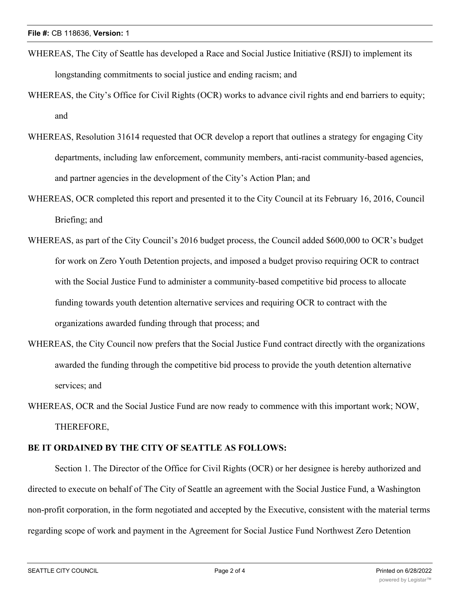- WHEREAS, The City of Seattle has developed a Race and Social Justice Initiative (RSJI) to implement its longstanding commitments to social justice and ending racism; and
- WHEREAS, the City's Office for Civil Rights (OCR) works to advance civil rights and end barriers to equity; and
- WHEREAS, Resolution 31614 requested that OCR develop a report that outlines a strategy for engaging City departments, including law enforcement, community members, anti-racist community-based agencies, and partner agencies in the development of the City's Action Plan; and
- WHEREAS, OCR completed this report and presented it to the City Council at its February 16, 2016, Council Briefing; and
- WHEREAS, as part of the City Council's 2016 budget process, the Council added \$600,000 to OCR's budget for work on Zero Youth Detention projects, and imposed a budget proviso requiring OCR to contract with the Social Justice Fund to administer a community-based competitive bid process to allocate funding towards youth detention alternative services and requiring OCR to contract with the organizations awarded funding through that process; and
- WHEREAS, the City Council now prefers that the Social Justice Fund contract directly with the organizations awarded the funding through the competitive bid process to provide the youth detention alternative services; and
- WHEREAS, OCR and the Social Justice Fund are now ready to commence with this important work; NOW, THEREFORE,

## **BE IT ORDAINED BY THE CITY OF SEATTLE AS FOLLOWS:**

Section 1. The Director of the Office for Civil Rights (OCR) or her designee is hereby authorized and directed to execute on behalf of The City of Seattle an agreement with the Social Justice Fund, a Washington non-profit corporation, in the form negotiated and accepted by the Executive, consistent with the material terms regarding scope of work and payment in the Agreement for Social Justice Fund Northwest Zero Detention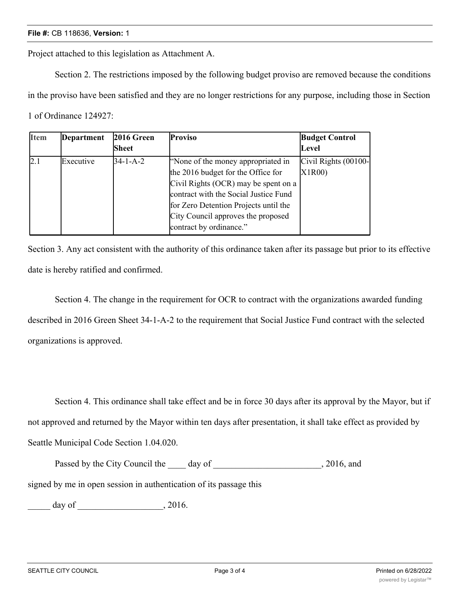Project attached to this legislation as Attachment A.

Section 2. The restrictions imposed by the following budget proviso are removed because the conditions in the proviso have been satisfied and they are no longer restrictions for any purpose, including those in Section 1 of Ordinance 124927:

| <b>Item</b> | <b>Department</b> | 2016 Green<br><b>Sheet</b> | <b>Proviso</b>                                                                                                                                                                                                                                                      | <b>Budget Control</b><br>Level |
|-------------|-------------------|----------------------------|---------------------------------------------------------------------------------------------------------------------------------------------------------------------------------------------------------------------------------------------------------------------|--------------------------------|
| 2.1         | Executive         | $34 - 1 - A - 2$           | "None of the money appropriated in<br>the 2016 budget for the Office for<br>Civil Rights (OCR) may be spent on a<br>contract with the Social Justice Fund<br>for Zero Detention Projects until the<br>City Council approves the proposed<br>contract by ordinance." | Civil Rights (00100-<br>X1R00) |

Section 3. Any act consistent with the authority of this ordinance taken after its passage but prior to its effective date is hereby ratified and confirmed.

Section 4. The change in the requirement for OCR to contract with the organizations awarded funding described in 2016 Green Sheet 34-1-A-2 to the requirement that Social Justice Fund contract with the selected organizations is approved.

Section 4. This ordinance shall take effect and be in force 30 days after its approval by the Mayor, but if not approved and returned by the Mayor within ten days after presentation, it shall take effect as provided by Seattle Municipal Code Section 1.04.020.

Passed by the City Council the day of the case of the 2016, and signed by me in open session in authentication of its passage this

\_\_\_\_\_ day of \_\_\_\_\_\_\_\_\_\_\_\_\_\_\_\_\_\_\_, 2016.